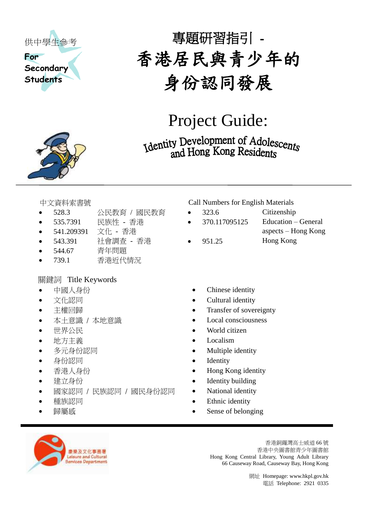

# 專題研習指引 - 香港居民與青少年的 身份認同發展

Project Guide:

Identity Development of Adolescents<br>and Hong Kong Residents



- 528.3 公民教育 / 國民教育 323.6 Citizenship
- 535.7391 民族性 香港 370.117095125 Education General
- 541.209391 文化 香港 aspects Hong Kong
- 543.391 社會調査 香港 951.25 Hong Kong
- 544.67 青年問題
- 739.1 香港近代情況

# 關鍵詞 Title Keywords

- 
- 
- 
- 本土意識 / 本地意識 Local consciousness
- 
- 地方主義 マンチング → Localism
- 
- 身份認同 Identity
- 
- 
- 國家認同 / 民族認同 / 國民身份認同 National identity
- 
- 

# 中文資料索書號 Call Numbers for English Materials

- 
- -
- 
- 中國人身份 Chinese identity
- 文化認同 Cultural identity
	- 主權回歸 **Transfer of sovereignty** 
		-
- 世界公民 World citizen
	-
- 多元身份認同 Multiple identity
	-
- 香港人身份 Hong Kong identity
- 建立身份 ● Identity building
	-
	- 種族認同 **Ethnic identity**
	- 歸屬感 Sense of belonging



香港銅鑼灣高士威道 66 號 香港中央圖書館青少年圖書館 Hong Kong Central Library, Young Adult Library 66 Causeway Road, Causeway Bay, Hong Kong

> 網址 Homepage[: www.hkpl.gov.hk](http://www.hkpl.gov.hk/) 電話 Telephone: 2921 0335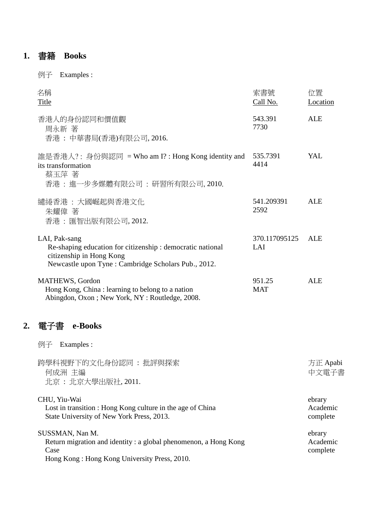# **1.** 書籍 **Books**

例子 Examples :

|    | 名稱<br><b>Title</b>                                                                                                                                             | 索書號<br>Call No.      | 位置<br>Location                 |
|----|----------------------------------------------------------------------------------------------------------------------------------------------------------------|----------------------|--------------------------------|
|    | 香港人的身份認同和價值觀<br>周永新 著<br>香港:中華書局(香港)有限公司, 2016.                                                                                                                | 543.391<br>7730      | <b>ALE</b>                     |
|    | 誰是香港人?: 身份與認同 = Who am I?: Hong Kong identity and<br>its transformation<br>蔡玉萍 著<br>香港 : 進一步多媒體有限公司 : 研習所有限公司, 2010.                                           | 535.7391<br>4414     | YAL                            |
|    | 繾綣香港 : 大國崛起與香港文化<br>朱耀偉 著<br>香港: 匯智出版有限公司, 2012.                                                                                                               | 541.209391<br>2592   | <b>ALE</b>                     |
|    | LAI, Pak-sang<br>Re-shaping education for citizenship : democratic national<br>citizenship in Hong Kong<br>Newcastle upon Tyne: Cambridge Scholars Pub., 2012. | 370.117095125<br>LAI | <b>ALE</b>                     |
|    | <b>MATHEWS, Gordon</b><br>Hong Kong, China: learning to belong to a nation<br>Abingdon, Oxon; New York, NY: Routledge, 2008.                                   | 951.25<br><b>MAT</b> | <b>ALE</b>                     |
| 2. | e-Books<br>畱.<br>書                                                                                                                                             |                      |                                |
|    | Examples :<br>例子                                                                                                                                               |                      |                                |
|    | 跨學科視野下的文化身份認同:批評與探索<br>何成洲 主編<br>北京 : 北京大學出版社, 2011.                                                                                                           |                      | 方正 Apabi<br>中文電子書              |
|    | CHU, Yiu-Wai<br>Lost in transition : Hong Kong culture in the age of China<br>State University of New York Press, 2013.                                        |                      | ebrary<br>Academic<br>complete |
|    | SUSSMAN, Nan M.<br>Return migration and identity: a global phenomenon, a Hong Kong<br>Case<br>Hong Kong: Hong Kong University Press, 2010.                     |                      | ebrary<br>Academic<br>complete |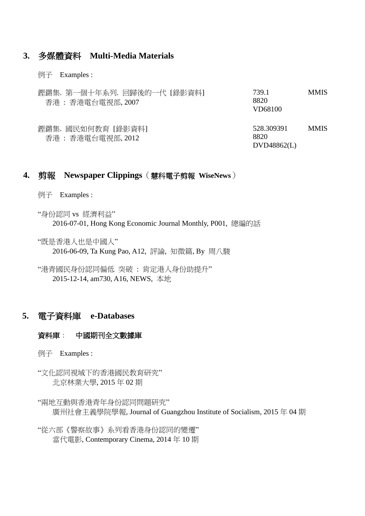#### **3.** 多媒體資料 **Multi-Media Materials**

例子 Examples :

| 鏗鏘集. 第一個十年系列. 回歸後的一代 [錄影資料]<br>香港 : 香港電台電視部, 2007 | 739.1<br>8820<br>VD68100          | <b>MMIS</b> |
|---------------------------------------------------|-----------------------------------|-------------|
| 鏗鏘集. 國民如何教育 [錄影資料]<br>香港 : 香港電台電視部, 2012          | 528.309391<br>8820<br>DVD48862(L) | <b>MMIS</b> |

### **4.** 剪報 **Newspaper Clippings**(慧科電子剪報 **WiseNews**)

- 例子 Examples :
- "身份認同 vs 經濟利益" 2016-07-01, Hong Kong Economic Journal Monthly, P001, 總編的話
- "既是香港人也是中國人" 2016-06-09, Ta Kung Pao, A12, 評論, 知微篇, By 周八駿
- "港青國民身份認同偏低 突破 : 肯定港人身份助提升" 2015-12-14, am730, A16, NEWS, 本地

# **5.** 電子資料庫 **e-Databases**

#### 資料庫: 中國期刊全文數據庫

- 例子 Examples :
- "文化認同視域下的香港國民教育研究" 北京林業大學, 2015 年 02 期
- "兩地互動與香港青年身份認同問題研究" 廣州社會主義學院學報, Journal of Guangzhou Institute of Socialism, 2015 年 04 期

"從六部《警察故事》系列看香港身份認同的變遷" 當代電影, Contemporary Cinema, 2014 年 10 期